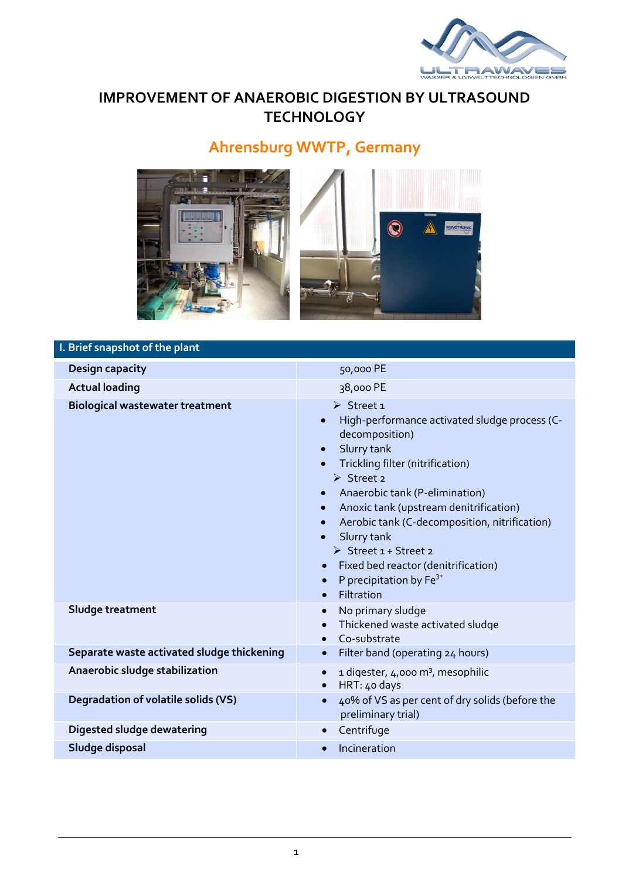

## **IMPROVEMENT OF ANAEROBIC DIGESTION BY ULTRASOUND TECHNOLOGY**

# **Ahrensburg WWTP, Germany**



| I. Brief snapshot of the plant             |                                                                                                                                                                                                                                                                                                                                                                                                                                                                                                                      |
|--------------------------------------------|----------------------------------------------------------------------------------------------------------------------------------------------------------------------------------------------------------------------------------------------------------------------------------------------------------------------------------------------------------------------------------------------------------------------------------------------------------------------------------------------------------------------|
| Design capacity                            | 50,000 PE                                                                                                                                                                                                                                                                                                                                                                                                                                                                                                            |
| <b>Actual loading</b>                      | 38,000 PE                                                                                                                                                                                                                                                                                                                                                                                                                                                                                                            |
| <b>Biological wastewater treatment</b>     | $\triangleright$ Street 1<br>High-performance activated sludge process (C-<br>$\bullet$<br>decomposition)<br>Slurry tank<br>$\bullet$<br>Trickling filter (nitrification)<br>$\bullet$<br>$\triangleright$ Street 2<br>Anaerobic tank (P-elimination)<br>Anoxic tank (upstream denitrification)<br>$\bullet$<br>Aerobic tank (C-decomposition, nitrification)<br>$\bullet$<br>Slurry tank<br>> Street 1 + Street 2<br>Fixed bed reactor (denitrification)<br>P precipitation by $Fe^{3+}$<br>$\bullet$<br>Filtration |
| Sludge treatment                           | No primary sludge<br>$\bullet$<br>Thickened waste activated sludge<br>$\bullet$<br>Co-substrate<br>$\bullet$                                                                                                                                                                                                                                                                                                                                                                                                         |
| Separate waste activated sludge thickening | Filter band (operating 24 hours)<br>$\bullet$                                                                                                                                                                                                                                                                                                                                                                                                                                                                        |
| Anaerobic sludge stabilization             | 1 digester, 4,000 m <sup>3</sup> , mesophilic<br>$\bullet$<br>HRT: 40 days<br>$\bullet$                                                                                                                                                                                                                                                                                                                                                                                                                              |
| Degradation of volatile solids (VS)        | 40% of VS as per cent of dry solids (before the<br>preliminary trial)                                                                                                                                                                                                                                                                                                                                                                                                                                                |
| Digested sludge dewatering                 | Centrifuge<br>$\bullet$                                                                                                                                                                                                                                                                                                                                                                                                                                                                                              |
| Sludge disposal                            | Incineration<br>$\bullet$                                                                                                                                                                                                                                                                                                                                                                                                                                                                                            |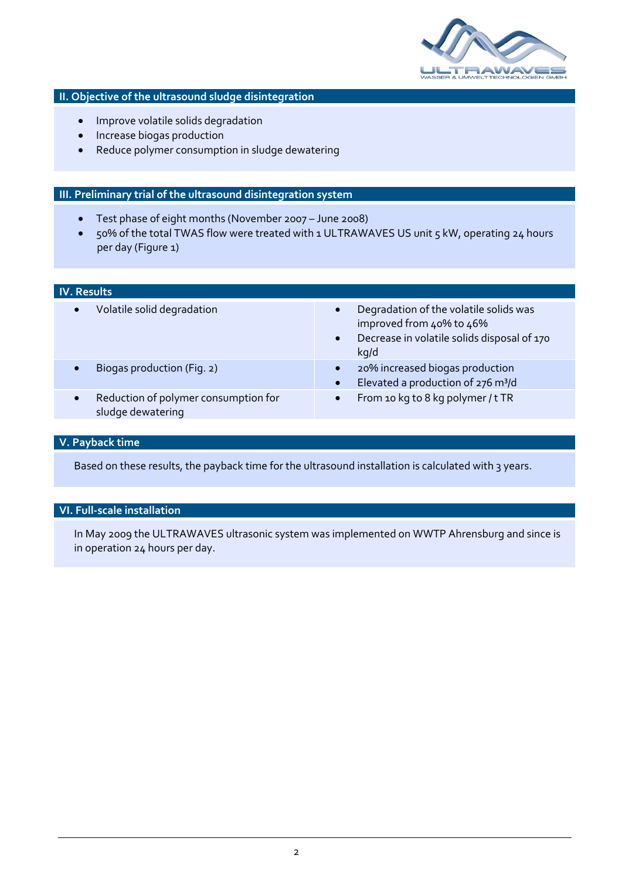

### **II. Objective of the ultrasound sludge disintegration**

- Improve volatile solids degradation
- Increase biogas production
- Reduce polymer consumption in sludge dewatering

#### **III. Preliminary trial of the ultrasound disintegration system**

- Test phase of eight months (November 2007 June 2008)
- 50% of the total TWAS flow were treated with 1 ULTRAWAVES US unit 5 kW, operating 24 hours per day (Figure 1)

| <b>IV. Results</b>                                                     |                                                                                                                                                     |
|------------------------------------------------------------------------|-----------------------------------------------------------------------------------------------------------------------------------------------------|
| Volatile solid degradation<br>$\bullet$                                | Degradation of the volatile solids was<br>$\bullet$<br>improved from 40% to 46%<br>Decrease in volatile solids disposal of 170<br>$\bullet$<br>kq/d |
| Biogas production (Fig. 2)<br>$\bullet$                                | 20% increased biogas production<br>$\bullet$<br>Elevated a production of 276 m <sup>3</sup> /d<br>$\bullet$                                         |
| Reduction of polymer consumption for<br>$\bullet$<br>sludge dewatering | From 10 kg to 8 kg polymer / t TR<br>$\bullet$                                                                                                      |

#### **V. Payback time**

Based on these results, the payback time for the ultrasound installation is calculated with 3 years.

#### **VI. Full-scale installation**

In May 2009 the ULTRAWAVES ultrasonic system was implemented on WWTP Ahrensburg and since is in operation 24 hours per day.